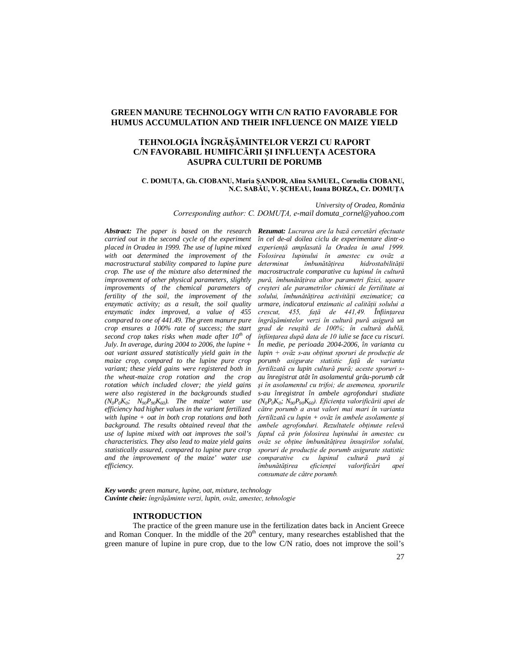# **GREEN MANURE TECHNOLOGY WITH C/N RATIO FAVORABLE FOR HUMUS ACCUMULATION AND THEIR INFLUENCE ON MAIZE YIELD**

# **TEHNOLOGIA ÎNGRĂŞĂMINTELOR VERZI CU RAPORT C/N FAVORABIL HUMIFICĂRII ŞI INFLUENŢA ACESTORA ASUPRA CULTURII DE PORUMB**

### **C. DOMUŢA, Gh. CIOBANU, Maria ŞANDOR, Alina SAMUEL, Cornelia CIOBANU, N.C. SABĂU, V. ŞCHEAU, Ioana BORZA, Cr. DOMUŢA**

*University of Oradea, România Corresponding author: C. DOMUŢA, e-mail domuta\_cornel@yahoo.com*

*Abstract: The paper is based on the research Rezumat: Lucrarea are la bază cercetări efectuate carried out in the second cycle of the experiment placed in Oradea in 1999. The use of lupine mixed with oat determined the improvement of the macrostructural stability compared to lupine pure crop. The use of the mixture also determined the improvement of other physical parameters, slightly improvements of the chemical parameters of fertility of the soil, the improvement of the enzymatic activity; as a result, the soil quality enzymatic index improved, a value of 455 compared to one of 441.49. The green manure pure crop ensures a 100% rate of success; the start second crop takes risks when made after 10th of July. In average, during 2004 to 2006, the lupine + oat variant assured statistically yield gain in the maize crop, compared to the lupine pure crop variant; these yield gains were registered both in the wheat-maize crop rotation and the crop rotation which included clover; the yield gains were also registered in the backgrounds studied*   $(N_0 P_0 K_0; N_{90} P_{90} K_{60})$ . The maize' water use *efficiency had higher values in the variant fertilized with lupine + oat in both crop rotations and both background. The results obtained reveal that the use of lupine mixed with oat improves the soil's characteristics. They also lead to maize yield gains statistically assured, compared to lupine pure crop and the improvement of the maize' water use efficiency.*

*în cel de-al doilea ciclu de experimentare dintr-o experienţă amplasată la Oradea în anul 1999. Folosirea lupinului în amestec cu ovăz a determinat îmbunătăţirea hidrostabilităţii macrostructrale comparative cu lupinul în cultură pură, îmbunătăţirea altor parametri fizici, uşoare creşteri ale parametrilor chimici de fertilitate ai solului, îmbunătăţirea activităţii enzimatice; ca urmare, indicatorul enzimatic al calităţii solului a crescut, 455, faţă de 441,49. Înfiinţarea îngrăşămintelor verzi în cultură pură asigură un grad de reuşită de 100%; în cultură dublă, înfiinţarea după data de 10 iulie se face cu riscuri. În medie, pe perioada 2004-2006, în varianta cu lupin + ovăz s-au obţinut sporuri de producţie de porumb asigurate statistic faţă de varianta fertilizată cu lupin cultură pură; aceste sporuri sau înregistrat atât în asolamentul grâu-porumb cât şi în asolamentul cu trifoi; de asemenea, sporurile s-au înregistrat în ambele agrofonduri studiate (N0P0K<sup>0</sup> ; N90P90K60). Eficienţa valorificării apei de către porumb a avut valori mai mari în varianta fertilizată cu lupin + ovăz în ambele asolamente şi ambele agrofonduri. Rezultatele obţinute relevă faptul că prin folosirea lupinului în amestec cu ovăz se obţine îmbunătăţirea însuşirilor solului, sporuri de producţie de porumb asigurate statistic comparative cu lupinul cultură pu*<br>*îmbunătătirea eficientei valorificări îmbunătăţirea eficienţei valorificări apei consumate de către porumb.*

*Key words: green manure, lupine, oat, mixture, technology Cuvinte cheie: îngrăşăminte verzi, lupin, ovăz, amestec, tehnologie*

## **INTRODUCTION**

The practice of the green manure use in the fertilization dates back in Ancient Greece and Roman Conquer. In the middle of the  $20<sup>th</sup>$  century, many researches established that the green manure of lupine in pure crop, due to the low C/N ratio, does not improve the soil's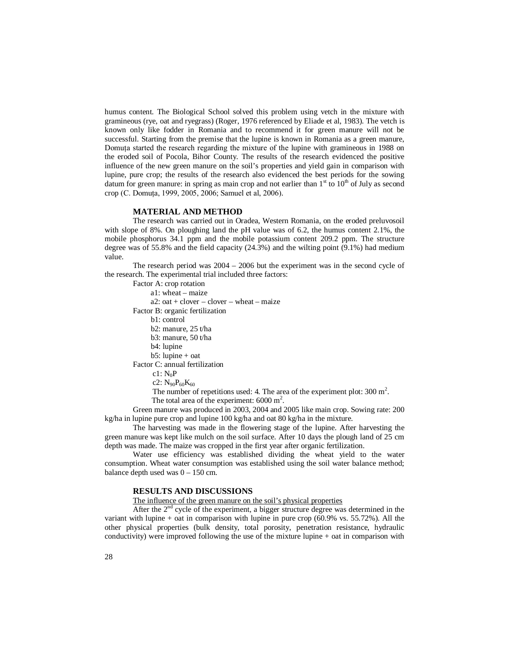humus content. The Biological School solved this problem using vetch in the mixture with gramineous (rye, oat and ryegrass) (Roger, 1976 referenced by Eliade et al, 1983). The vetch is known only like fodder in Romania and to recommend it for green manure will not be successful. Starting from the premise that the lupine is known in Romania as a green manure, Domuta started the research regarding the mixture of the lupine with gramineous in 1988 on the eroded soil of Pocola, Bihor County. The results of the research evidenced the positive influence of the new green manure on the soil's properties and yield gain in comparison with lupine, pure crop; the results of the research also evidenced the best periods for the sowing datum for green manure: in spring as main crop and not earlier than  $1<sup>st</sup>$  to  $10<sup>th</sup>$  of July as second crop (C. Domuţa, 1999, 2005, 2006; Samuel et al, 2006).

### **MATERIAL AND METHOD**

The research was carried out in Oradea, Western Romania, on the eroded preluvosoil with slope of 8%. On ploughing land the pH value was of 6.2, the humus content 2.1%, the mobile phosphorus 34.1 ppm and the mobile potassium content 209.2 ppm. The structure degree was of 55.8% and the field capacity (24.3%) and the wilting point (9.1%) had medium value.

The research period was 2004 – 2006 but the experiment was in the second cycle of the research. The experimental trial included three factors:

Factor A: crop rotation

a1: wheat – maize

 $a2:$  oat + clover – clover – wheat – maize

Factor B: organic fertilization

b1: control

b2: manure, 25 t/ha

- b3: manure, 50 t/ha
- b4: lupine
- b5: lupine + oat

Factor C: annual fertilization

 $c1:$  N<sub>o</sub>P

The number of repetitions used: 4. The area of the experiment plot:  $300 \text{ m}^2$ .

The total area of the experiment:  $6000 \text{ m}^2$ .

Green manure was produced in 2003, 2004 and 2005 like main crop. Sowing rate: 200 kg/ha in lupine pure crop and lupine 100 kg/ha and oat 80 kg/ha in the mixture.

The harvesting was made in the flowering stage of the lupine. After harvesting the green manure was kept like mulch on the soil surface. After 10 days the plough land of 25 cm depth was made. The maize was cropped in the first year after organic fertilization.

Water use efficiency was established dividing the wheat yield to the water consumption. Wheat water consumption was established using the soil water balance method; balance depth used was  $0 - 150$  cm.

### **RESULTS AND DISCUSSIONS**

The influence of the green manure on the soil's physical properties

After the  $2<sup>nd</sup>$  cycle of the experiment, a bigger structure degree was determined in the variant with lupine  $+$  oat in comparison with lupine in pure crop (60.9% vs. 55.72%). All the other physical properties (bulk density, total porosity, penetration resistance, hydraulic conductivity) were improved following the use of the mixture lupine + oat in comparison with

 $c2: N_{90}P_{60}K_{60}$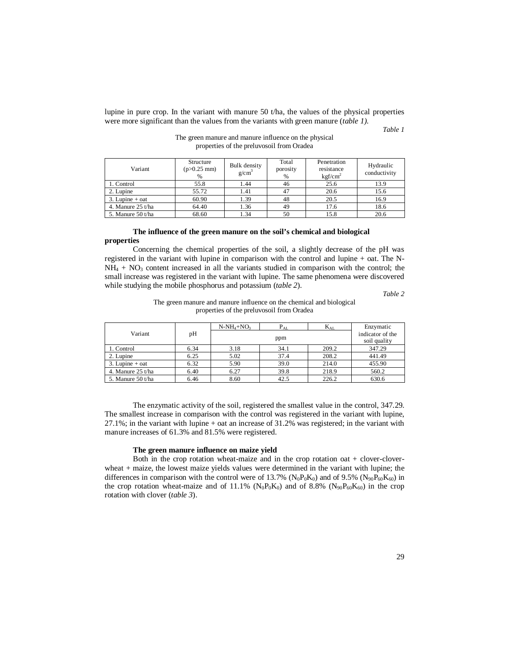lupine in pure crop. In the variant with manure 50 t/ha, the values of the physical properties were more significant than the values from the variants with green manure (*table 1)*.

*Table 1*

| The green manure and manure influence on the physical |  |
|-------------------------------------------------------|--|
| properties of the preluvosoil from Oradea             |  |

| Variant             | Structure<br>$(p>0.25$ mm)<br>% | Bulk density<br>g/cm <sup>3</sup> | Total<br>porosity<br>% | Penetration<br>resistance<br>kcf/cm <sup>2</sup> | Hydraulic<br>conductivity |
|---------------------|---------------------------------|-----------------------------------|------------------------|--------------------------------------------------|---------------------------|
| 1. Control          | 55.8                            | 1.44                              | 46                     | 25.6                                             | 13.9                      |
| 2. Lupine           | 55.72                           | 1.41                              | 47                     | 20.6                                             | 15.6                      |
| $3.$ Lupine + oat   | 60.90                           | 1.39                              | 48                     | 20.5                                             | 16.9                      |
| 4. Manure $25$ t/ha | 64.40                           | 1.36                              | 49                     | 17.6                                             | 18.6                      |
| 5. Manure $50$ t/ha | 68.60                           | .34                               | 50                     | 15.8                                             | 20.6                      |

### **The influence of the green manure on the soil's chemical and biological properties**

Concerning the chemical properties of the soil, a slightly decrease of the pH was registered in the variant with lupine in comparison with the control and lupine + oat. The N- $NH<sub>4</sub> + NO<sub>3</sub>$  content increased in all the variants studied in comparison with the control; the small increase was registered in the variant with lupine. The same phenomena were discovered while studying the mobile phosphorus and potassium (*table 2*).

*Table 2*

## The green manure and manure influence on the chemical and biological properties of the preluvosoil from Oradea

|                     |      | $N-NH_4+NO_3$ | $P_{AL}$ | $K_{AL}$ | Enzymatic |  |  |
|---------------------|------|---------------|----------|----------|-----------|--|--|
| Variant             | pH   |               | ppm      |          |           |  |  |
| 1. Control          | 6.34 | 3.18          | 34.1     | 209.2    | 347.29    |  |  |
| 2. Lupine           | 6.25 | 5.02          | 37.4     | 208.2    | 441.49    |  |  |
| $3.$ Lupine + oat   | 6.32 | 5.90          | 39.0     | 214.0    | 455.90    |  |  |
| 4. Manure $25$ t/ha | 6.40 | 6.27          | 39.8     | 218.9    | 560.2     |  |  |
| 5. Manure 50 t/ha   | 6.46 | 8.60          | 42.5     | 226.2    | 630.6     |  |  |

The enzymatic activity of the soil, registered the smallest value in the control, 347.29. The smallest increase in comparison with the control was registered in the variant with lupine, 27.1%; in the variant with lupine + oat an increase of 31.2% was registered; in the variant with manure increases of 61.3% and 81.5% were registered.

### **The green manure influence on maize yield**

Both in the crop rotation wheat-maize and in the crop rotation oat + clover-cloverwheat + maize, the lowest maize yields values were determined in the variant with lupine; the differences in comparison with the control were of 13.7% ( $N_0P_0K_0$ ) and of 9.5% ( $N_{90}P_{60}K_{60}$ ) in the crop rotation wheat-maize and of 11.1%  $(N_0P_0K_0)$  and of 8.8%  $(N_{90}P_{60}K_{60})$  in the crop rotation with clover (*table 3*).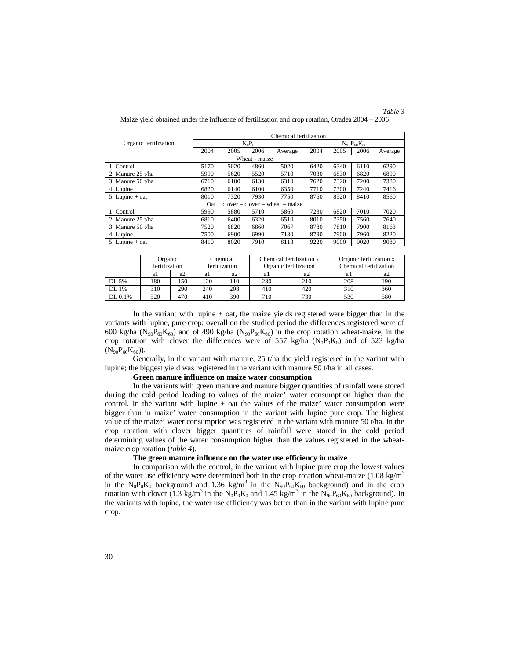|                       | Chemical fertilization |      |      |                                         |                      |      |      |         |
|-----------------------|------------------------|------|------|-----------------------------------------|----------------------|------|------|---------|
| Organic fertilization | $N_0P_0$               |      |      |                                         | $N_{90}P_{60}K_{60}$ |      |      |         |
|                       | 2004                   | 2005 | 2006 | Average                                 | 2004                 | 2005 | 2006 | Average |
| Wheat - maize         |                        |      |      |                                         |                      |      |      |         |
| 1. Control            | 5170                   | 5020 | 4860 | 5020                                    | 6420                 | 6340 | 6110 | 6290    |
| 2. Manure 25 t/ha     | 5990                   | 5620 | 5520 | 5710                                    | 7030                 | 6830 | 6820 | 6890    |
| 3. Manure $50$ t/ha   | 6710                   | 6100 | 6130 | 6310                                    | 7620                 | 7320 | 7200 | 7380    |
| 4. Lupine             | 6820                   | 6140 | 6100 | 6350                                    | 7710                 | 7300 | 7240 | 7416    |
| 5. Lupine $+$ oat     | 8010                   | 7320 | 7930 | 7750                                    | 8760                 | 8520 | 8410 | 8560    |
|                       |                        |      |      | $Out + clover - clover - wheel - maize$ |                      |      |      |         |
| 1. Control            | 5990                   | 5880 | 5710 | 5860                                    | 7230                 | 6820 | 7010 | 7020    |
| 2. Manure 25 t/ha     | 6810                   | 6400 | 6320 | 6510                                    | 8010                 | 7350 | 7560 | 7640    |
| 3. Manure $50$ t/ha   | 7520                   | 6820 | 6860 | 7067                                    | 8780                 | 7810 | 7900 | 8163    |
| 4. Lupine             | 7500                   | 6900 | 6990 | 7130                                    | 8790                 | 7900 | 7960 | 8220    |
| 5. Lupine $+$ oat     | 8410                   | 8020 | 7910 | 8113                                    | 9220                 | 9000 | 9020 | 9080    |

*Table 3*

|         | Organic<br>fertilization |      |     | Chemical<br>fertilization |          | Chemical fertilization x<br>Organic fertilization | Organic fertilization x<br>Chemical fertilization |     |
|---------|--------------------------|------|-----|---------------------------|----------|---------------------------------------------------|---------------------------------------------------|-----|
|         | al                       | a2   | al  | a2                        | a2<br>al |                                                   | a.                                                | a2  |
| DL 5%   | 180                      | l 50 | 120 | 110                       | 230      | 210                                               | 208                                               | 190 |
| DL 1%   | 310                      | 290  | 240 | 208                       | 410      | 420                                               | 310                                               | 360 |
| DL 0.1% | 520                      | 470  | 410 | 390                       | 710      | 730                                               | 530                                               | 580 |

In the variant with lupine + oat, the maize yields registered were bigger than in the variants with lupine, pure crop; overall on the studied period the differences registered were of 600 kg/ha ( $N_{90}P_{60}K_{60}$ ) and of 490 kg/ha ( $N_{90}P_{60}K_{60}$ ) in the crop rotation wheat-maize; in the crop rotation with clover the differences were of 557 kg/ha  $(N_0P_0K_0)$  and of 523 kg/ha  $(N_{90}P_{60}K_{60})$ ).

Generally, in the variant with manure, 25 t/ha the yield registered in the variant with lupine; the biggest yield was registered in the variant with manure 50 t/ha in all cases.

#### **Green manure influence on maize water consumption**

In the variants with green manure and manure bigger quantities of rainfall were stored during the cold period leading to values of the maize' water consumption higher than the control. In the variant with lupine  $+$  oat the values of the maize' water consumption were bigger than in maize' water consumption in the variant with lupine pure crop. The highest value of the maize' water consumption was registered in the variant with manure 50 t/ha. In the crop rotation with clover bigger quantities of rainfall were stored in the cold period determining values of the water consumption higher than the values registered in the wheatmaize crop rotation (*table 4*).

### **The green manure influence on the water use efficiency in maize**

In comparison with the control, in the variant with lupine pure crop the lowest values of the water use efficiency were determined both in the crop rotation wheat-maize  $(1.08 \text{ kg/m}^3)$ in the N<sub>0</sub>P<sub>0</sub>K<sub>0</sub> background and 1.36 kg/m<sup>3</sup> in the N<sub>90</sub>P<sub>60</sub>K<sub>60</sub> background) and in the crop rotation with clover (1.3 kg/m<sup>3</sup> in the  $N_0P_0K_0$  and 1.45 kg/m<sup>3</sup> in the  $N_{90}P_{60}K_{60}$  background). In the variants with lupine, the water use efficiency was better than in the variant with lupine pure crop.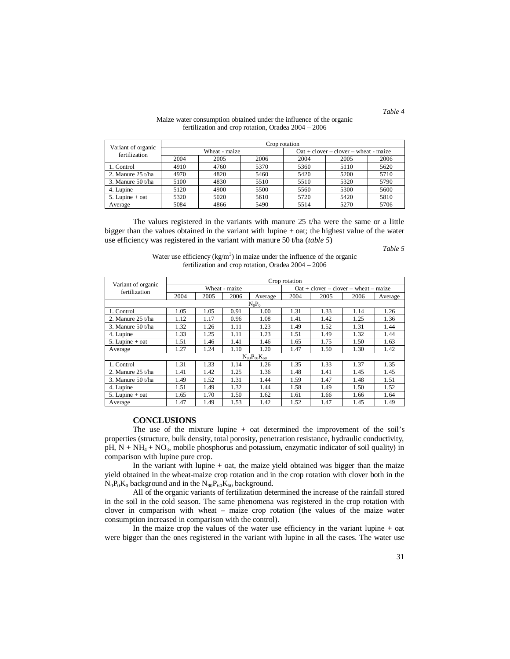| Variant of organic  | Crop rotation |               |      |                                         |      |      |  |  |  |
|---------------------|---------------|---------------|------|-----------------------------------------|------|------|--|--|--|
| fertilization       |               | Wheat - maize |      | $Out + clover - clover - wheat - maize$ |      |      |  |  |  |
|                     | 2004          | 2005          | 2006 | 2004                                    | 2005 | 2006 |  |  |  |
| 1. Control          | 4910          | 4760          | 5370 | 5360                                    | 5110 | 5620 |  |  |  |
| 2. Manure $25$ t/ha | 4970          | 4820          | 5460 | 5420                                    | 5200 | 5710 |  |  |  |
| 3. Manure $50t/ha$  | 5100          | 4830          | 5510 | 5510                                    | 5320 | 5790 |  |  |  |
| 4. Lupine           | 5120          | 4900          | 5500 | 5560                                    | 5300 | 5600 |  |  |  |
| $5.$ Lupine + oat   | 5320          | 5020          | 5610 | 5720                                    | 5420 | 5810 |  |  |  |
| Average             | 5084          | 4866          | 5490 | 5514                                    | 5270 | 5706 |  |  |  |

#### Maize water consumption obtained under the influence of the organic fertilization and crop rotation, Oradea 2004 – 2006

The values registered in the variants with manure 25 t/ha were the same or a little bigger than the values obtained in the variant with lupine + oat; the highest value of the water use efficiency was registered in the variant with manure 50 t/ha (*table 5*)

*Table 5*

*Table 4*

| Water use efficiency ( $kg/m3$ ) in maize under the influence of the organic |
|------------------------------------------------------------------------------|
| fertilization and crop rotation, Oradea $2004 - 2006$                        |

|                                     | Crop rotation |      |               |                      |      |                                         |      |         |  |  |
|-------------------------------------|---------------|------|---------------|----------------------|------|-----------------------------------------|------|---------|--|--|
| Variant of organic<br>fertilization |               |      | Wheat - maize |                      |      | $Out + clover - clover - wheat - maize$ |      |         |  |  |
|                                     | 2004          | 2005 | 2006          | Average              | 2004 | 2005                                    | 2006 | Average |  |  |
| $N_0P_0$                            |               |      |               |                      |      |                                         |      |         |  |  |
| 1. Control                          | 1.05          | 1.05 | 0.91          | 1.00                 | 1.31 | 1.33                                    | 1.14 | 1.26    |  |  |
| 2. Manure $25 t/ha$                 | 1.12          | 1.17 | 0.96          | 1.08                 | 1.41 | 1.42                                    | 1.25 | 1.36    |  |  |
| 3. Manure 50 t/ha                   | 1.32          | 1.26 | 1.11          | 1.23                 | 1.49 | 1.52                                    | 1.31 | 1.44    |  |  |
| 4. Lupine                           | 1.33          | 1.25 | 1.11          | 1.23                 | 1.51 | 1.49                                    | 1.32 | 1.44    |  |  |
| 5. Lupine $+$ oat                   | 1.51          | 1.46 | 1.41          | 1.46                 | 1.65 | 1.75                                    | 1.50 | 1.63    |  |  |
| Average                             | 1.27          | 1.24 | 1.10          | 1.20                 | 1.47 | 1.50                                    | 1.30 | 1.42    |  |  |
|                                     |               |      |               | $N_{90}P_{60}K_{60}$ |      |                                         |      |         |  |  |
| 1. Control                          | 1.31          | 1.33 | 1.14          | 1.26                 | 1.35 | 1.33                                    | 1.37 | 1.35    |  |  |
| 2. Manure 25 t/ha                   | 1.41          | 1.42 | 1.25          | 1.36                 | 1.48 | 1.41                                    | 1.45 | 1.45    |  |  |
| 3. Manure $50$ t/ha                 | 1.49          | 1.52 | 1.31          | 1.44                 | 1.59 | 1.47                                    | 1.48 | 1.51    |  |  |
| 4. Lupine                           | 1.51          | 1.49 | 1.32          | 1.44                 | 1.58 | 1.49                                    | 1.50 | 1.52    |  |  |
| 5. Lupine $+$ oat                   | 1.65          | 1.70 | 1.50          | 1.62                 | 1.61 | 1.66                                    | 1.66 | 1.64    |  |  |
| Average                             | 1.47          | 1.49 | 1.53          | 1.42                 | 1.52 | 1.47                                    | 1.45 | 1.49    |  |  |

### **CONCLUSIONS**

The use of the mixture lupine  $+$  oat determined the improvement of the soil's properties (structure, bulk density, total porosity, penetration resistance, hydraulic conductivity,  $pH$ ,  $N + NH_4 + NO_3$ , mobile phosphorus and potassium, enzymatic indicator of soil quality) in comparison with lupine pure crop.

In the variant with lupine  $+$  oat, the maize yield obtained was bigger than the maize yield obtained in the wheat-maize crop rotation and in the crop rotation with clover both in the  $N_0P_0K_0$  background and in the  $N_{90}P_{60}K_{60}$  background.

All of the organic variants of fertilization determined the increase of the rainfall stored in the soil in the cold season. The same phenomena was registered in the crop rotation with clover in comparison with wheat – maize crop rotation (the values of the maize water consumption increased in comparison with the control).

In the maize crop the values of the water use efficiency in the variant lupine + oat were bigger than the ones registered in the variant with lupine in all the cases. The water use